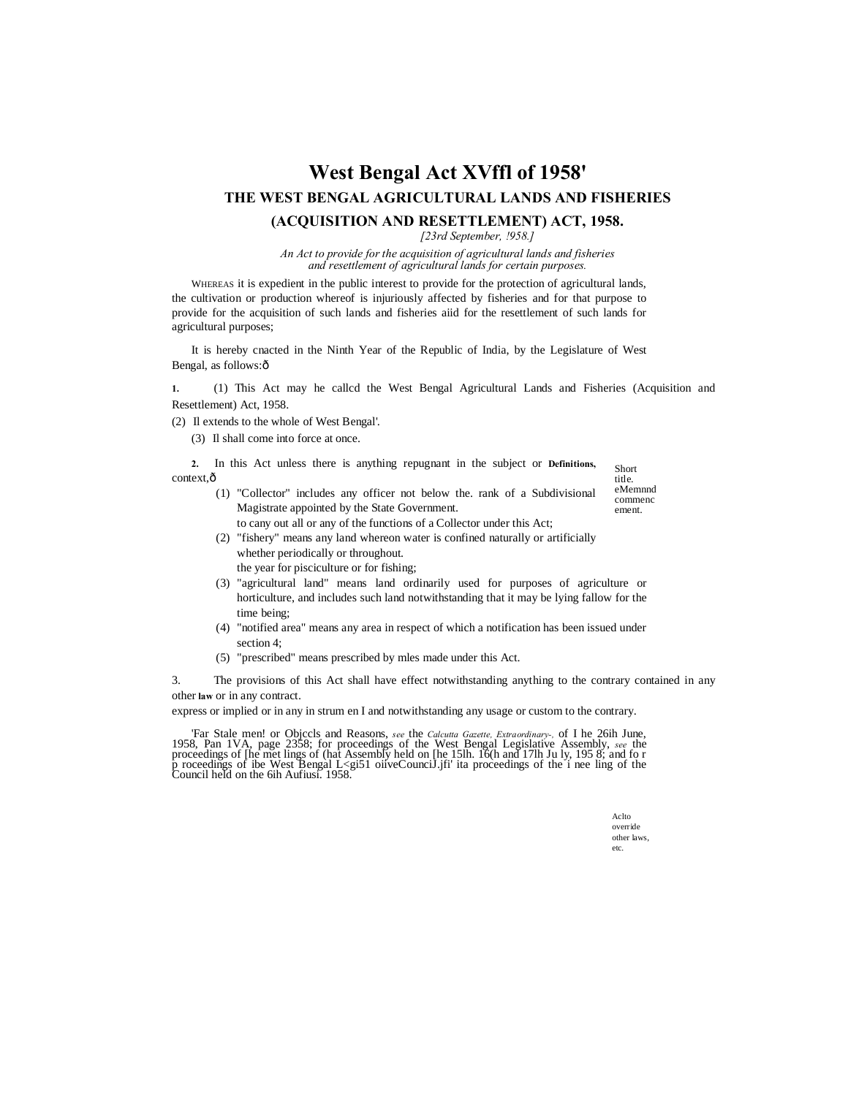# **West Bengal Act XVffl of 1958' THE WEST BENGAL AGRICULTURAL LANDS AND FISHERIES**

# **(ACQUISITION AND RESETTLEMENT) ACT, 1958.**

*[23rd September, !958.]*

*An Act to provide for the acquisition of agricultural lands and fisheries and resettlement of agricultural lands for certain purposes.*

WHEREAS it is expedient in the public interest to provide for the protection of agricultural lands, the cultivation or production whereof is injuriously affected by fisheries and for that purpose to provide for the acquisition of such lands and fisheries aiid for the resettlement of such lands for agricultural purposes;

It is hereby cnacted in the Ninth Year of the Republic of India, by the Legislature of West Bengal, as follows: $\hat{o}$ 

**1.** (1) This Act may he callcd the West Bengal Agricultural Lands and Fisheries (Acquisition and Resettlement) Act, 1958.

(2) Il extends to the whole of West Bengal'.

(3) Il shall come into force at once.

Short **2.** In this Act unless there is anything repugnant in the subject or **Definitions,**  context, $\hat{o}$ 

- (1) "Collector" includes any officer not below the. rank of a Subdivisional Magistrate appointed by the State Government.
	- to cany out all or any of the functions of a Collector under this Act;
- (2) "fishery" means any land whereon water is confined naturally or artificially whether periodically or throughout. the year for pisciculture or for fishing;
- (3) "agricultural land" means land ordinarily used for purposes of agriculture or horticulture, and includes such land notwithstanding that it may be lying fallow for the time being;
- (4) "notified area" means any area in respect of which a notification has been issued under section 4;
- (5) "prescribed" means prescribed by mles made under this Act.

3. The provisions of this Act shall have effect notwithstanding anything to the contrary contained in any other **law** or in any contract.

express or implied or in any in strum en I and notwithstanding any usage or custom to the contrary.

Tar Stale men! or Objccls and Reasons, *see* the *Calcutta Gazette, Extraordinary*-, of I he 26ih June, 1958, Pan 1VA, page 2358; for proceedings of the West Bengal Legislative Assembly, *see* the proceedings of the met li

Aclto override other laws, etc.

title. eMemnnd commenc ement.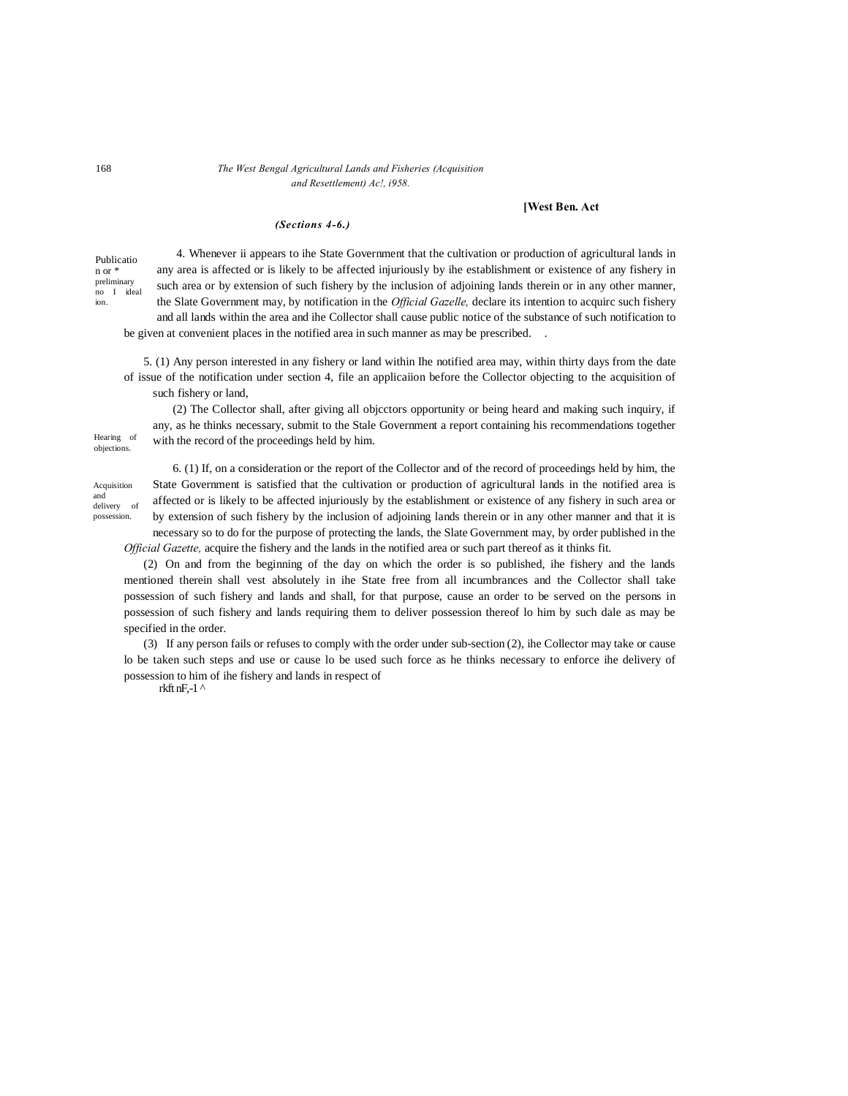# 168 *The West Bengal Agricultural Lands and Fisheries (Acquisition and Resettlement) Ac!, i958.*

### **[West Ben. Act**

### *(Sections 4-6.)*

Publicatio n or \* preliminary no I ideal ion.

4. Whenever ii appears to ihe State Government that the cultivation or production of agricultural lands in any area is affected or is likely to be affected injuriously by ihe establishment or existence of any fishery in such area or by extension of such fishery by the inclusion of adjoining lands therein or in any other manner, the Slate Government may, by notification in the *Official Gazelle,* declare its intention to acquirc such fishery and all lands within the area and ihe Collector shall cause public notice of the substance of such notification to be given at convenient places in the notified area in such manner as may be prescribed. .

5. (1) Any person interested in any fishery or land within Ihe notified area may, within thirty days from the date of issue of the notification under section 4, file an applicaiion before the Collector objecting to the acquisition of such fishery or land,

(2) The Collector shall, after giving all objcctors opportunity or being heard and making such inquiry, if any, as he thinks necessary, submit to the Stale Government a report containing his recommendations together with the record of the proceedings held by him.

Acquisition and delivery of possession.

Hearing of objections.

> 6. (1) If, on a consideration or the report of the Collector and of the record of proceedings held by him, the State Government is satisfied that the cultivation or production of agricultural lands in the notified area is affected or is likely to be affected injuriously by the establishment or existence of any fishery in such area or by extension of such fishery by the inclusion of adjoining lands therein or in any other manner and that it is necessary so to do for the purpose of protecting the lands, the Slate Government may, by order published in the

*Official Gazette,* acquire the fishery and the lands in the notified area or such part thereof as it thinks fit.

(2) On and from the beginning of the day on which the order is so published, ihe fishery and the lands mentioned therein shall vest absolutely in ihe State free from all incumbrances and the Collector shall take possession of such fishery and lands and shall, for that purpose, cause an order to be served on the persons in possession of such fishery and lands requiring them to deliver possession thereof lo him by such dale as may be specified in the order.

(3) If any person fails or refuses to comply with the order under sub-section (2), ihe Collector may take or cause lo be taken such steps and use or cause lo be used such force as he thinks necessary to enforce ihe delivery of possession to him of ihe fishery and lands in respect of

rkft nF,-1 $^{\prime}$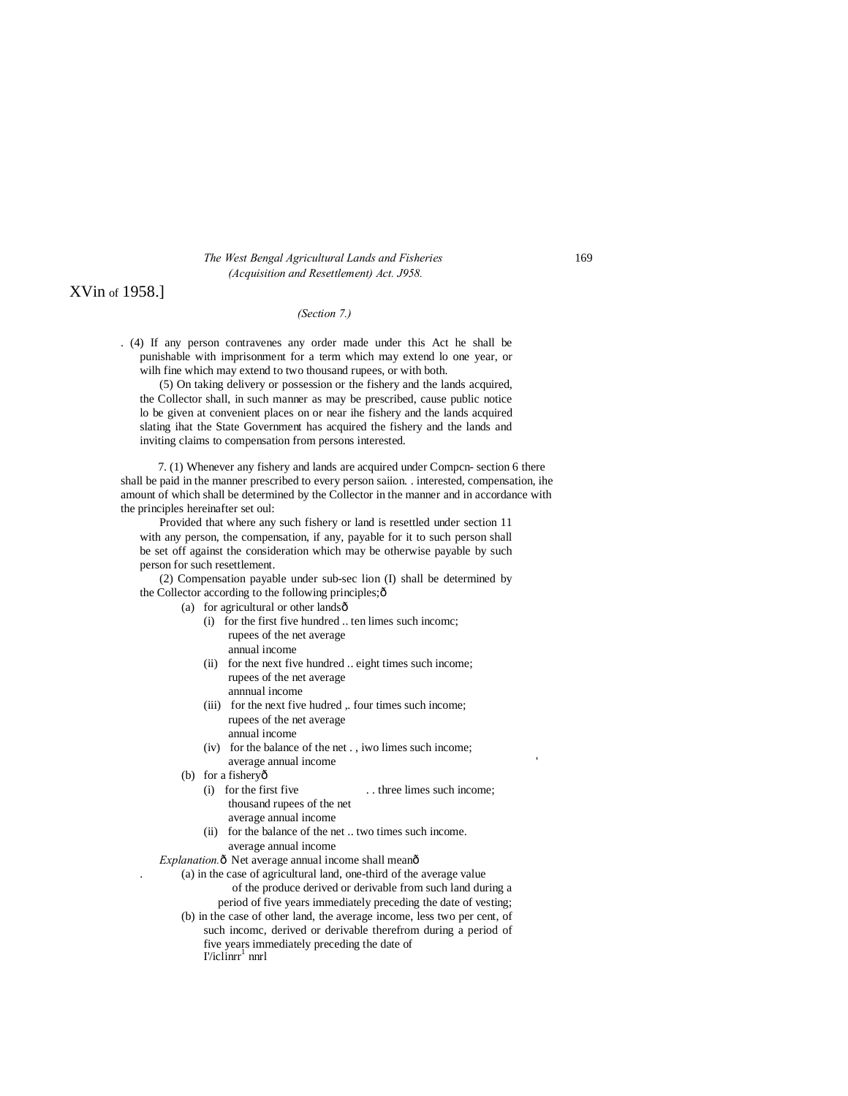# *The West Bengal Agricultural Lands and Fisheries* 169 *(Acquisition and Resettlement) Act. J958.*

# XVin of 1958.]

### *(Section 7.)*

. (4) If any person contravenes any order made under this Act he shall be punishable with imprisonment for a term which may extend lo one year, or wilh fine which may extend to two thousand rupees, or with both.

(5) On taking delivery or possession or the fishery and the lands acquired, the Collector shall, in such manner as may be prescribed, cause public notice lo be given at convenient places on or near ihe fishery and the lands acquired slating ihat the State Government has acquired the fishery and the lands and inviting claims to compensation from persons interested.

7. (1) Whenever any fishery and lands are acquired under Compcn- section 6 there shall be paid in the manner prescribed to every person saiion. . interested, compensation, ihe amount of which shall be determined by the Collector in the manner and in accordance with the principles hereinafter set oul:

Provided that where any such fishery or land is resettled under section 11 with any person, the compensation, if any, payable for it to such person shall be set off against the consideration which may be otherwise payable by such person for such resettlement.

(2) Compensation payable under sub-sec lion (I) shall be determined by the Collector according to the following principles; $\hat{o}$ 

- (a) for agricultural or other lands $\hat{o}$ 
	- (i) for the first five hundred .. ten limes such incomc; rupees of the net average annual income
	- (ii) for the next five hundred .. eight times such income; rupees of the net average annnual income
	- (iii) for the next five hudred , four times such income; rupees of the net average annual income
	- (iv) for the balance of the net . , iwo limes such income; average annual income
	- (b) for a fishery $\hat{o}$ 
		- (i) for the first five . . three limes such income; thousand rupees of the net
			- average annual income
		- (ii) for the balance of the net .. two times such income. average annual income
- *Explanation.* $\delta$  Net average annual income shall mean $\delta$ 
	- . (a) in the case of agricultural land, one-third of the average value
		- of the produce derived or derivable from such land during a
		- period of five years immediately preceding the date of vesting;
		- (b) in the case of other land, the average income, less two per cent, of such incomc, derived or derivable therefrom during a period of five years immediately preceding the date of  $I$ '/iclin $rr^1$  nnrl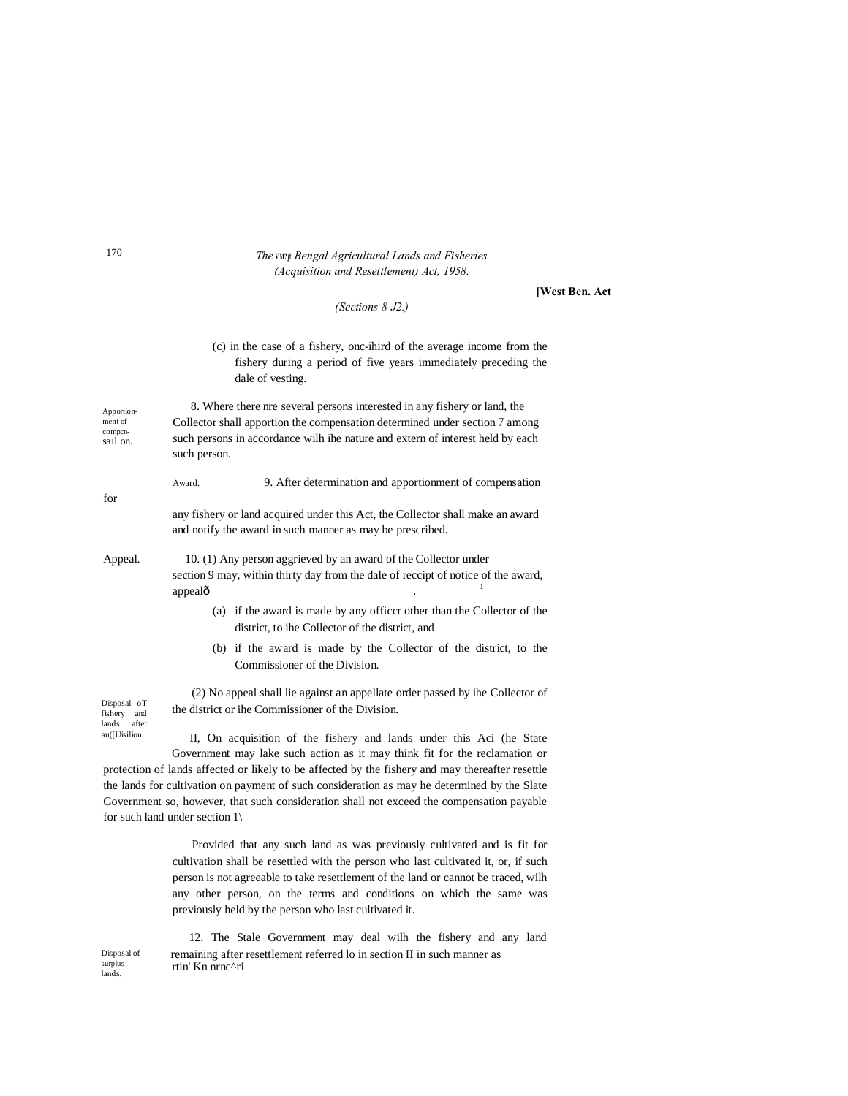# *The* **VM? jf** *Bengal Agricultural Lands and Fisheries (Acquisition and Resettlement) Act, 1958.*

### **[West Ben. Act**

# *(Sections 8-J2.)*

# (c) in the case of a fishery, onc-ihird of the average income from the fishery during a period of five years immediately preceding the dale of vesting.

Apportionment of compcn-sail on. 8. Where there nre several persons interested in any fishery or land, the Collector shall apportion the compensation determined under section 7 among such persons in accordance wilh ihe nature and extern of interest held by each such person.

Award. 9. After determination and apportionment of compensation

any fishery or land acquired under this Act, the Collector shall make an award and notify the award in such manner as may be prescribed.

Appeal. 10. (1) Any person aggrieved by an award of the Collector under section 9 may, within thirty day from the dale of reccipt of notice of the award,  $\Omega$  appeal $\hat{0}$  and  $\Omega$  . The set of  $\Omega$  is the set of  $\Omega$ 

- (a) if the award is made by any officcr other than the Collector of the district, to ihe Collector of the district, and
- (b) if the award is made by the Collector of the district, to the Commissioner of the Division.

(2) No appeal shall lie against an appellate order passed by ihe Collector of the district or ihe Commissioner of the Division.

Disposal oT fishery and lands after au([Uisilion.

II, On acquisition of the fishery and lands under this Aci (he State Government may lake such action as it may think fit for the reclamation or protection of lands affected or likely to be affected by the fishery and may thereafter resettle the lands for cultivation on payment of such consideration as may he determined by the Slate Government so, however, that such consideration shall not exceed the compensation payable for such land under section 1\

> Provided that any such land as was previously cultivated and is fit for cultivation shall be resettled with the person who last cultivated it, or, if such person is not agreeable to take resettlement of the land or cannot be traced, wilh any other person, on the terms and conditions on which the same was previously held by the person who last cultivated it.

12. The Stale Government may deal wilh the fishery and any land remaining after resettlement referred lo in section II in such manner as rtin' Kn nrnc^ri

for

Disposal of surplus lands.